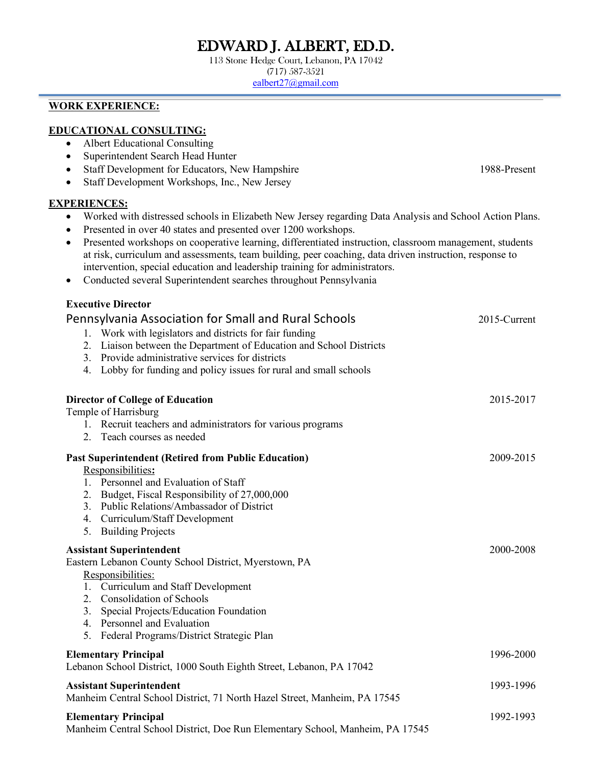# EDWARD J. ALBERT, ED.D. 113 Stone Hedge Court, Lebanon, PA 17042

(717) 587-3521

ealbert27@gmail.com

## **WORK EXPERIENCE:**

## **EDUCATIONAL CONSULTING:**

- Albert Educational Consulting
- Superintendent Search Head Hunter
- Staff Development for Educators, New Hampshire 1988-Present
- Staff Development Workshops, Inc., New Jersey

#### **EXPERIENCES:**

- Worked with distressed schools in Elizabeth New Jersey regarding Data Analysis and School Action Plans.
- Presented in over 40 states and presented over 1200 workshops.
- Presented workshops on cooperative learning, differentiated instruction, classroom management, students at risk, curriculum and assessments, team building, peer coaching, data driven instruction, response to intervention, special education and leadership training for administrators.
- Conducted several Superintendent searches throughout Pennsylvania

## **Executive Director**

|                                                                               | Pennsylvania Association for Small and Rural Schools<br>1. Work with legislators and districts for fair funding<br>2. Liaison between the Department of Education and School Districts<br>3. Provide administrative services for districts<br>4. Lobby for funding and policy issues for rural and small schools | 2015-Current |
|-------------------------------------------------------------------------------|------------------------------------------------------------------------------------------------------------------------------------------------------------------------------------------------------------------------------------------------------------------------------------------------------------------|--------------|
|                                                                               | <b>Director of College of Education</b>                                                                                                                                                                                                                                                                          | 2015-2017    |
|                                                                               | Temple of Harrisburg                                                                                                                                                                                                                                                                                             |              |
|                                                                               | 1. Recruit teachers and administrators for various programs                                                                                                                                                                                                                                                      |              |
|                                                                               | 2. Teach courses as needed                                                                                                                                                                                                                                                                                       |              |
|                                                                               | <b>Past Superintendent (Retired from Public Education)</b>                                                                                                                                                                                                                                                       | 2009-2015    |
|                                                                               | Responsibilities:                                                                                                                                                                                                                                                                                                |              |
|                                                                               | 1. Personnel and Evaluation of Staff                                                                                                                                                                                                                                                                             |              |
| 2.                                                                            | Budget, Fiscal Responsibility of 27,000,000                                                                                                                                                                                                                                                                      |              |
|                                                                               | 3. Public Relations/Ambassador of District                                                                                                                                                                                                                                                                       |              |
|                                                                               | 4. Curriculum/Staff Development                                                                                                                                                                                                                                                                                  |              |
|                                                                               | 5. Building Projects                                                                                                                                                                                                                                                                                             |              |
| <b>Assistant Superintendent</b>                                               |                                                                                                                                                                                                                                                                                                                  | 2000-2008    |
|                                                                               | Eastern Lebanon County School District, Myerstown, PA                                                                                                                                                                                                                                                            |              |
|                                                                               | Responsibilities:                                                                                                                                                                                                                                                                                                |              |
|                                                                               | 1. Curriculum and Staff Development                                                                                                                                                                                                                                                                              |              |
|                                                                               | 2. Consolidation of Schools                                                                                                                                                                                                                                                                                      |              |
| 3.                                                                            | Special Projects/Education Foundation                                                                                                                                                                                                                                                                            |              |
|                                                                               | 4. Personnel and Evaluation                                                                                                                                                                                                                                                                                      |              |
|                                                                               | 5. Federal Programs/District Strategic Plan                                                                                                                                                                                                                                                                      |              |
|                                                                               | <b>Elementary Principal</b>                                                                                                                                                                                                                                                                                      | 1996-2000    |
|                                                                               | Lebanon School District, 1000 South Eighth Street, Lebanon, PA 17042                                                                                                                                                                                                                                             |              |
| <b>Assistant Superintendent</b>                                               |                                                                                                                                                                                                                                                                                                                  | 1993-1996    |
|                                                                               | Manheim Central School District, 71 North Hazel Street, Manheim, PA 17545                                                                                                                                                                                                                                        |              |
| <b>Elementary Principal</b>                                                   |                                                                                                                                                                                                                                                                                                                  | 1992-1993    |
| Manheim Central School District, Doe Run Elementary School, Manheim, PA 17545 |                                                                                                                                                                                                                                                                                                                  |              |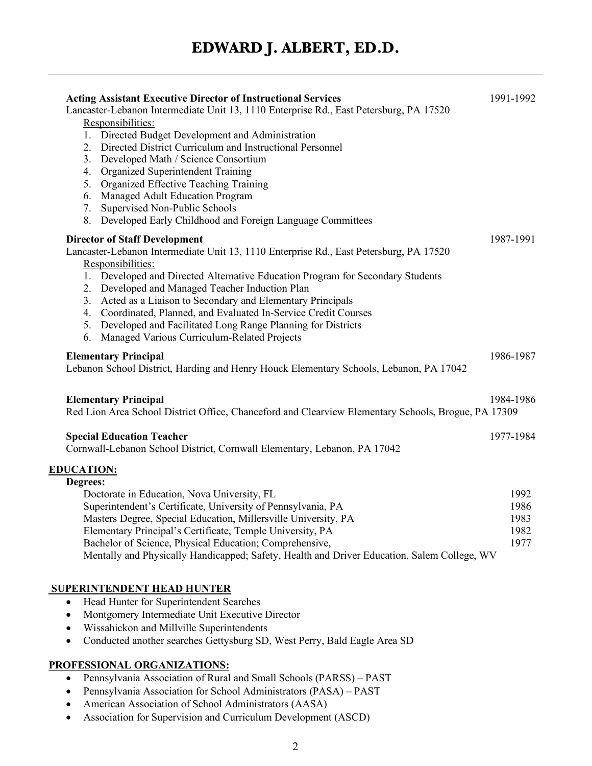| <b>Acting Assistant Executive Director of Instructional Services</b><br>Lancaster-Lebanon Intermediate Unit 13, 1110 Enterprise Rd., East Petersburg, PA 17520 | 1991-1992 |
|----------------------------------------------------------------------------------------------------------------------------------------------------------------|-----------|
| Responsibilities:                                                                                                                                              |           |
| 1. Directed Budget Development and Administration                                                                                                              |           |
| 2. Directed District Curriculum and Instructional Personnel                                                                                                    |           |
| Developed Math / Science Consortium<br>3.                                                                                                                      |           |
| Organized Superintendent Training<br>4.                                                                                                                        |           |
| Organized Effective Teaching Training<br>5.                                                                                                                    |           |
| Managed Adult Education Program<br>6.                                                                                                                          |           |
|                                                                                                                                                                |           |
| Supervised Non-Public Schools<br>7.<br>8. Developed Early Childhood and Foreign Language Committees                                                            |           |
| <b>Director of Staff Development</b>                                                                                                                           | 1987-1991 |
|                                                                                                                                                                |           |
| Lancaster-Lebanon Intermediate Unit 13, 1110 Enterprise Rd., East Petersburg, PA 17520                                                                         |           |
| Responsibilities:                                                                                                                                              |           |
| 1. Developed and Directed Alternative Education Program for Secondary Students                                                                                 |           |
| 2. Developed and Managed Teacher Induction Plan                                                                                                                |           |
| Acted as a Liaison to Secondary and Elementary Principals<br>3.                                                                                                |           |
| Coordinated, Planned, and Evaluated In-Service Credit Courses<br>4.                                                                                            |           |
| 5. Developed and Facilitated Long Range Planning for Districts                                                                                                 |           |
| 6. Managed Various Curriculum-Related Projects                                                                                                                 |           |
| <b>Elementary Principal</b>                                                                                                                                    | 1986-1987 |
| Lebanon School District, Harding and Henry Houck Elementary Schools, Lebanon, PA 17042                                                                         |           |
| <b>Elementary Principal</b><br>Red Lion Area School District Office, Chanceford and Clearview Elementary Schools, Brogue, PA 17309                             | 1984-1986 |
|                                                                                                                                                                |           |
| <b>Special Education Teacher</b><br>Cornwall-Lebanon School District, Cornwall Elementary, Lebanon, PA 17042                                                   | 1977-1984 |
|                                                                                                                                                                |           |
| <b>EDUCATION:</b>                                                                                                                                              |           |
| Degrees:                                                                                                                                                       |           |
| Doctorate in Education, Nova University, FL                                                                                                                    | 1992      |
| Superintendent's Certificate, University of Pennsylvania, PA                                                                                                   | 1986      |
| Masters Degree, Special Education, Millersville University, PA                                                                                                 | 1983      |
| Elementary Principal's Certificate, Temple University, PA                                                                                                      | 1982      |
| Bachelor of Science, Physical Education; Comprehensive,                                                                                                        | 1977      |
| Mentally and Physically Handicapped; Safety, Health and Driver Education, Salem College, WV                                                                    |           |
|                                                                                                                                                                |           |
| <b>SUPERINTENDENT HEAD HUNTER</b>                                                                                                                              |           |
| Head Hunter for Superintendent Searches<br>٠                                                                                                                   |           |
| Montgomery Intermediate Unit Executive Director                                                                                                                |           |
| Wissahickon and Millville Superintendents                                                                                                                      |           |
| Conducted another searches Gettysburg SD, West Perry, Bald Eagle Area SD<br>٠                                                                                  |           |
| <u>PROFESSIONAL ORGANIZATIONS:</u>                                                                                                                             |           |
| <b>Depreylvania Association of Pural and Small Schools (DARSS) PAST</b>                                                                                        |           |

- Pennsylvania Association of Rural and Small Schools (PARSS) PAST
- Pennsylvania Association for School Administrators (PASA) PAST
- American Association of School Administrators (AASA)
- Association for Supervision and Curriculum Development (ASCD)